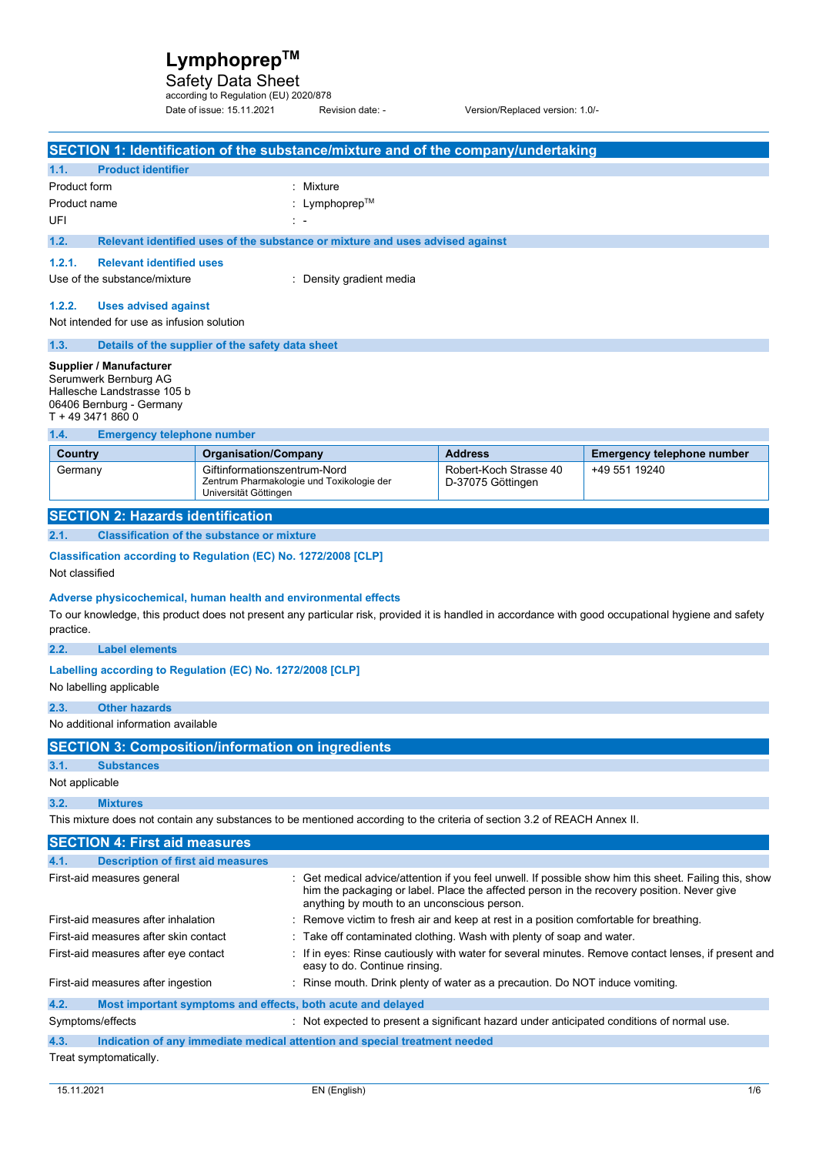Safety Data Sheet<br>according to Regulation (EU) 2020/878

Date of issue: 15.11.2021 Revision date: - Version/Replaced version: 1.0/-

|                                                                                                                                  |                                                       |                                                                               | SECTION 1: Identification of the substance/mixture and of the company/undertaking                                        |                                                                                                                                                                                                    |
|----------------------------------------------------------------------------------------------------------------------------------|-------------------------------------------------------|-------------------------------------------------------------------------------|--------------------------------------------------------------------------------------------------------------------------|----------------------------------------------------------------------------------------------------------------------------------------------------------------------------------------------------|
| 1.1.<br><b>Product identifier</b>                                                                                                |                                                       |                                                                               |                                                                                                                          |                                                                                                                                                                                                    |
| Product form                                                                                                                     |                                                       | : Mixture                                                                     |                                                                                                                          |                                                                                                                                                                                                    |
| Product name                                                                                                                     |                                                       | Lymphoprep™                                                                   |                                                                                                                          |                                                                                                                                                                                                    |
| UFI                                                                                                                              |                                                       |                                                                               |                                                                                                                          |                                                                                                                                                                                                    |
| 1.2.                                                                                                                             |                                                       | Relevant identified uses of the substance or mixture and uses advised against |                                                                                                                          |                                                                                                                                                                                                    |
| 1.2.1.<br><b>Relevant identified uses</b>                                                                                        |                                                       |                                                                               |                                                                                                                          |                                                                                                                                                                                                    |
| Use of the substance/mixture                                                                                                     |                                                       | : Density gradient media                                                      |                                                                                                                          |                                                                                                                                                                                                    |
| 1.2.2.<br><b>Uses advised against</b>                                                                                            |                                                       |                                                                               |                                                                                                                          |                                                                                                                                                                                                    |
| Not intended for use as infusion solution                                                                                        |                                                       |                                                                               |                                                                                                                          |                                                                                                                                                                                                    |
| 1.3.                                                                                                                             | Details of the supplier of the safety data sheet      |                                                                               |                                                                                                                          |                                                                                                                                                                                                    |
| Supplier / Manufacturer<br>Serumwerk Bernburg AG<br>Hallesche Landstrasse 105 b<br>06406 Bernburg - Germany<br>T + 49 3471 860 0 |                                                       |                                                                               |                                                                                                                          |                                                                                                                                                                                                    |
| 1.4.<br><b>Emergency telephone number</b>                                                                                        |                                                       |                                                                               |                                                                                                                          |                                                                                                                                                                                                    |
| Country                                                                                                                          | <b>Organisation/Company</b>                           |                                                                               | <b>Address</b>                                                                                                           | <b>Emergency telephone number</b>                                                                                                                                                                  |
| Germany                                                                                                                          | Giftinformationszentrum-Nord<br>Universität Göttingen | Zentrum Pharmakologie und Toxikologie der                                     | Robert-Koch Strasse 40<br>D-37075 Göttingen                                                                              | +49 551 19240                                                                                                                                                                                      |
| <b>SECTION 2: Hazards identification</b>                                                                                         |                                                       |                                                                               |                                                                                                                          |                                                                                                                                                                                                    |
| 2.1.                                                                                                                             | <b>Classification of the substance or mixture</b>     |                                                                               |                                                                                                                          |                                                                                                                                                                                                    |
| Classification according to Regulation (EC) No. 1272/2008 [CLP]<br>Not classified                                                |                                                       |                                                                               |                                                                                                                          |                                                                                                                                                                                                    |
| Adverse physicochemical, human health and environmental effects<br>practice.                                                     |                                                       |                                                                               |                                                                                                                          | To our knowledge, this product does not present any particular risk, provided it is handled in accordance with good occupational hygiene and safety                                                |
| <b>Label elements</b><br>2.2.                                                                                                    |                                                       |                                                                               |                                                                                                                          |                                                                                                                                                                                                    |
| Labelling according to Regulation (EC) No. 1272/2008 [CLP]<br>No labelling applicable                                            |                                                       |                                                                               |                                                                                                                          |                                                                                                                                                                                                    |
| <b>Other hazards</b><br>2.3.                                                                                                     |                                                       |                                                                               |                                                                                                                          |                                                                                                                                                                                                    |
| No additional information available                                                                                              |                                                       |                                                                               |                                                                                                                          |                                                                                                                                                                                                    |
| <b>SECTION 3: Composition/information on ingredients</b>                                                                         |                                                       |                                                                               |                                                                                                                          |                                                                                                                                                                                                    |
| 3.1.<br><b>Substances</b>                                                                                                        |                                                       |                                                                               |                                                                                                                          |                                                                                                                                                                                                    |
| Not applicable                                                                                                                   |                                                       |                                                                               |                                                                                                                          |                                                                                                                                                                                                    |
| 3.2.<br><b>Mixtures</b>                                                                                                          |                                                       |                                                                               |                                                                                                                          |                                                                                                                                                                                                    |
|                                                                                                                                  |                                                       |                                                                               | This mixture does not contain any substances to be mentioned according to the criteria of section 3.2 of REACH Annex II. |                                                                                                                                                                                                    |
| <b>SECTION 4: First aid measures</b>                                                                                             |                                                       |                                                                               |                                                                                                                          |                                                                                                                                                                                                    |
| <b>Description of first aid measures</b><br>4.1.                                                                                 |                                                       |                                                                               |                                                                                                                          |                                                                                                                                                                                                    |
| First-aid measures general                                                                                                       |                                                       | anything by mouth to an unconscious person.                                   |                                                                                                                          | Get medical advice/attention if you feel unwell. If possible show him this sheet. Failing this, show<br>him the packaging or label. Place the affected person in the recovery position. Never give |
| First-aid measures after inhalation                                                                                              |                                                       |                                                                               | Remove victim to fresh air and keep at rest in a position comfortable for breathing.                                     |                                                                                                                                                                                                    |
| First-aid measures after skin contact                                                                                            |                                                       |                                                                               | Take off contaminated clothing. Wash with plenty of soap and water.                                                      |                                                                                                                                                                                                    |
| First-aid measures after eye contact                                                                                             |                                                       | easy to do. Continue rinsing.                                                 |                                                                                                                          | If in eyes: Rinse cautiously with water for several minutes. Remove contact lenses, if present and                                                                                                 |
| First-aid measures after ingestion                                                                                               |                                                       |                                                                               | : Rinse mouth. Drink plenty of water as a precaution. Do NOT induce vomiting.                                            |                                                                                                                                                                                                    |
| 4.2.                                                                                                                             |                                                       | Most important symptoms and effects, both acute and delayed                   |                                                                                                                          |                                                                                                                                                                                                    |
| Symptoms/effects                                                                                                                 |                                                       |                                                                               |                                                                                                                          | : Not expected to present a significant hazard under anticipated conditions of normal use.                                                                                                         |

**4.3. Indication of any immediate medical attention and special treatment needed**  Treat symptomatically.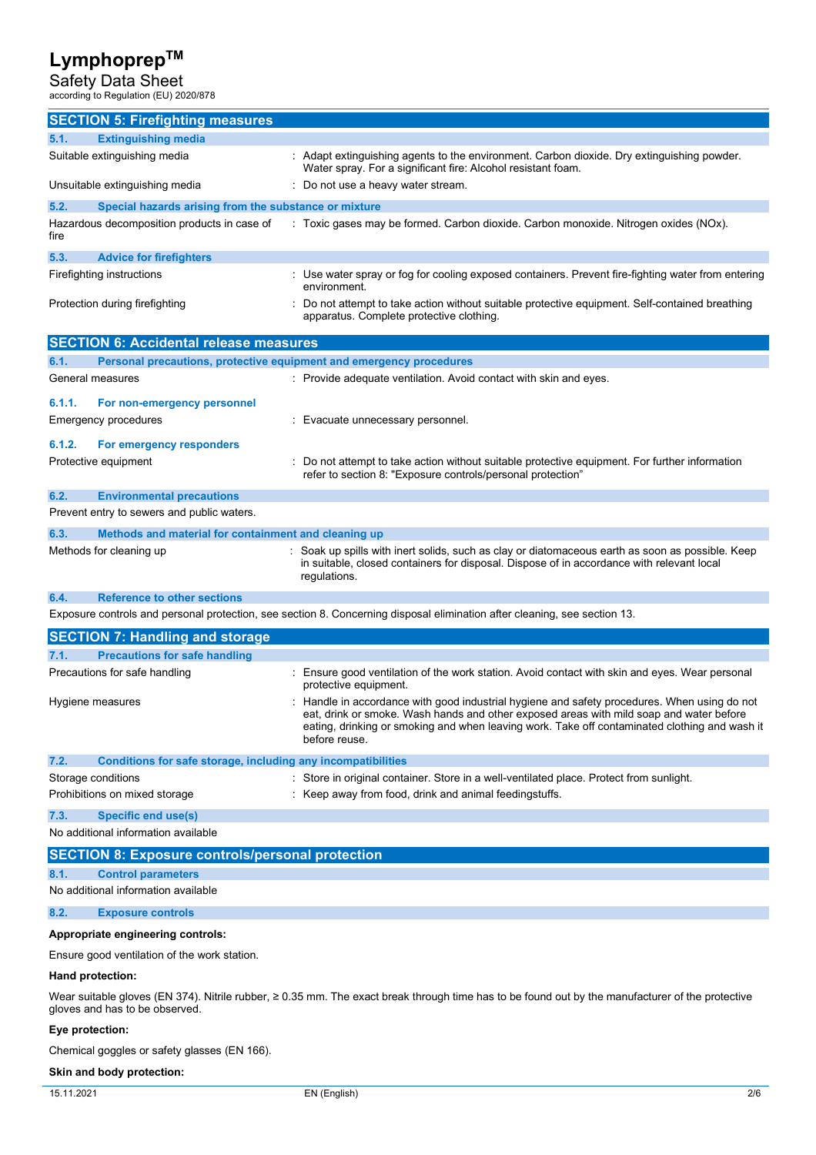Safety Data Sheet according to Regulation (EU) 2020/878

| <b>SECTION 5: Firefighting measures</b>                                                                                                               |                                                                                                                                                                                                                                                                                                           |  |
|-------------------------------------------------------------------------------------------------------------------------------------------------------|-----------------------------------------------------------------------------------------------------------------------------------------------------------------------------------------------------------------------------------------------------------------------------------------------------------|--|
| 5.1.<br><b>Extinguishing media</b>                                                                                                                    |                                                                                                                                                                                                                                                                                                           |  |
| Suitable extinguishing media                                                                                                                          | : Adapt extinguishing agents to the environment. Carbon dioxide. Dry extinguishing powder.<br>Water spray. For a significant fire: Alcohol resistant foam.                                                                                                                                                |  |
| Unsuitable extinguishing media                                                                                                                        | : Do not use a heavy water stream.                                                                                                                                                                                                                                                                        |  |
| 5.2.<br>Special hazards arising from the substance or mixture                                                                                         |                                                                                                                                                                                                                                                                                                           |  |
| Hazardous decomposition products in case of<br>fire                                                                                                   | : Toxic gases may be formed. Carbon dioxide. Carbon monoxide. Nitrogen oxides (NOx).                                                                                                                                                                                                                      |  |
| 5.3.<br><b>Advice for firefighters</b>                                                                                                                |                                                                                                                                                                                                                                                                                                           |  |
| Firefighting instructions                                                                                                                             | : Use water spray or fog for cooling exposed containers. Prevent fire-fighting water from entering<br>environment.                                                                                                                                                                                        |  |
| Protection during firefighting                                                                                                                        | Do not attempt to take action without suitable protective equipment. Self-contained breathing<br>apparatus. Complete protective clothing.                                                                                                                                                                 |  |
| <b>SECTION 6: Accidental release measures</b>                                                                                                         |                                                                                                                                                                                                                                                                                                           |  |
| 6.1.<br>Personal precautions, protective equipment and emergency procedures                                                                           |                                                                                                                                                                                                                                                                                                           |  |
| General measures                                                                                                                                      | : Provide adequate ventilation. Avoid contact with skin and eyes.                                                                                                                                                                                                                                         |  |
| 6.1.1.<br>For non-emergency personnel                                                                                                                 |                                                                                                                                                                                                                                                                                                           |  |
| <b>Emergency procedures</b>                                                                                                                           | : Evacuate unnecessary personnel.                                                                                                                                                                                                                                                                         |  |
| 6.1.2.<br>For emergency responders                                                                                                                    |                                                                                                                                                                                                                                                                                                           |  |
| Protective equipment                                                                                                                                  | Do not attempt to take action without suitable protective equipment. For further information<br>refer to section 8: "Exposure controls/personal protection"                                                                                                                                               |  |
| 6.2.<br><b>Environmental precautions</b>                                                                                                              |                                                                                                                                                                                                                                                                                                           |  |
| Prevent entry to sewers and public waters.                                                                                                            |                                                                                                                                                                                                                                                                                                           |  |
| 6.3.<br>Methods and material for containment and cleaning up                                                                                          |                                                                                                                                                                                                                                                                                                           |  |
| Methods for cleaning up                                                                                                                               | Soak up spills with inert solids, such as clay or diatomaceous earth as soon as possible. Keep<br>in suitable, closed containers for disposal. Dispose of in accordance with relevant local<br>regulations.                                                                                               |  |
| 6.4.<br><b>Reference to other sections</b>                                                                                                            |                                                                                                                                                                                                                                                                                                           |  |
|                                                                                                                                                       | Exposure controls and personal protection, see section 8. Concerning disposal elimination after cleaning, see section 13.                                                                                                                                                                                 |  |
| <b>SECTION 7: Handling and storage</b>                                                                                                                |                                                                                                                                                                                                                                                                                                           |  |
| <b>Precautions for safe handling</b><br>7.1.                                                                                                          |                                                                                                                                                                                                                                                                                                           |  |
| Precautions for safe handling                                                                                                                         | : Ensure good ventilation of the work station. Avoid contact with skin and eyes. Wear personal<br>protective equipment.                                                                                                                                                                                   |  |
| Hygiene measures                                                                                                                                      | : Handle in accordance with good industrial hygiene and safety procedures. When using do not<br>eat, drink or smoke. Wash hands and other exposed areas with mild soap and water before<br>eating, drinking or smoking and when leaving work. Take off contaminated clothing and wash it<br>before reuse. |  |
| 7.2.<br>Conditions for safe storage, including any incompatibilities                                                                                  |                                                                                                                                                                                                                                                                                                           |  |
| Storage conditions                                                                                                                                    | : Store in original container. Store in a well-ventilated place. Protect from sunlight.                                                                                                                                                                                                                   |  |
| Prohibitions on mixed storage                                                                                                                         | : Keep away from food, drink and animal feedingstuffs.                                                                                                                                                                                                                                                    |  |
| 7.3.<br><b>Specific end use(s)</b>                                                                                                                    |                                                                                                                                                                                                                                                                                                           |  |
| No additional information available                                                                                                                   |                                                                                                                                                                                                                                                                                                           |  |
| <b>SECTION 8: Exposure controls/personal protection</b>                                                                                               |                                                                                                                                                                                                                                                                                                           |  |
| <b>Control parameters</b><br>8.1.                                                                                                                     |                                                                                                                                                                                                                                                                                                           |  |
| No additional information available                                                                                                                   |                                                                                                                                                                                                                                                                                                           |  |
| 8.2.<br><b>Exposure controls</b>                                                                                                                      |                                                                                                                                                                                                                                                                                                           |  |
| Appropriate engineering controls:                                                                                                                     |                                                                                                                                                                                                                                                                                                           |  |
| Ensure good ventilation of the work station.                                                                                                          |                                                                                                                                                                                                                                                                                                           |  |
| Hand protection:                                                                                                                                      |                                                                                                                                                                                                                                                                                                           |  |
| Wear suitable gloves (EN 374). Nitrile rubber, $\geq 0.35$ mm. The exact break through time has to be found out by the manufacturer of the protective |                                                                                                                                                                                                                                                                                                           |  |
| gloves and has to be observed.                                                                                                                        |                                                                                                                                                                                                                                                                                                           |  |

### **Eye protection:**

Chemical goggles or safety glasses (EN 166).

### **Skin and body protection:**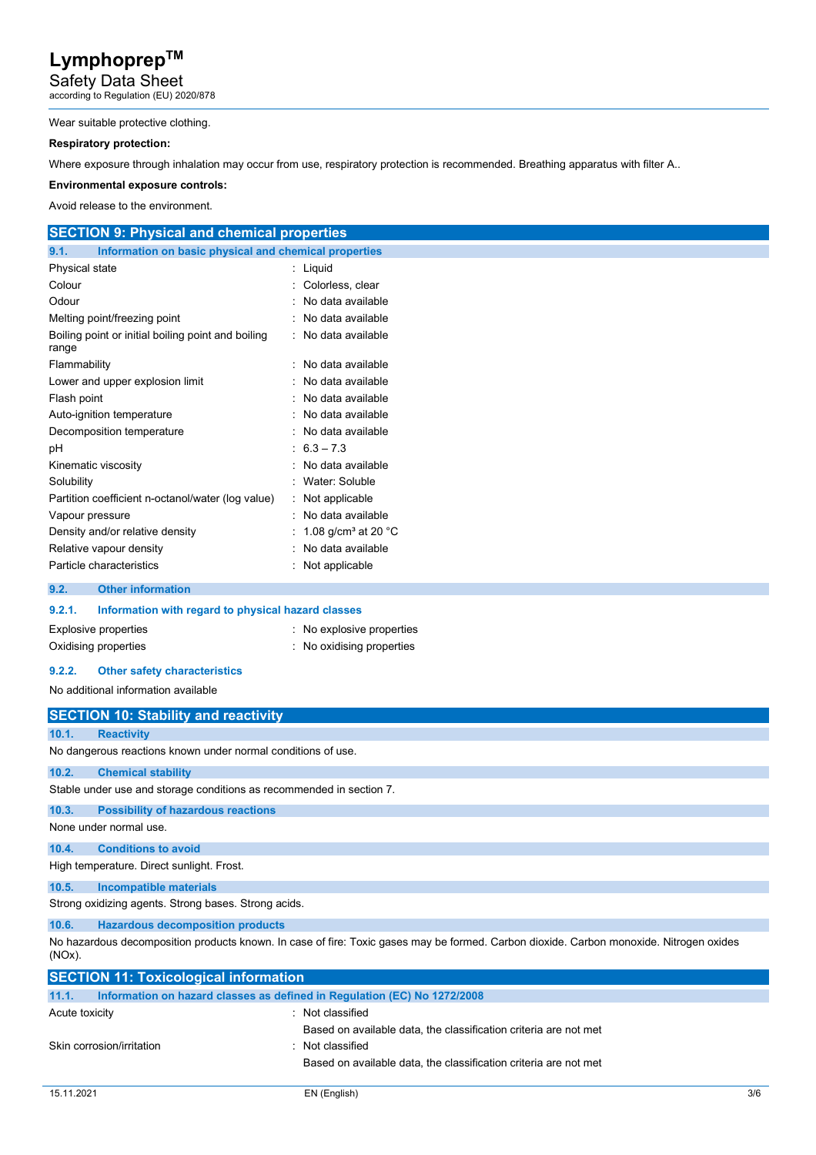Safety Data Sheet according to Regulation (EU) 2020/878

#### Wear suitable protective clothing.

### **Respiratory protection:**

Where exposure through inhalation may occur from use, respiratory protection is recommended. Breathing apparatus with filter A..

#### **Environmental exposure controls:**

Avoid release to the environment.

| <b>SECTION 9: Physical and chemical properties</b>            |                                           |
|---------------------------------------------------------------|-------------------------------------------|
| 9.1.<br>Information on basic physical and chemical properties |                                           |
| Physical state                                                | : Liquid                                  |
| Colour                                                        | Colorless, clear                          |
| Odour                                                         | No data available                         |
| Melting point/freezing point                                  | : No data available                       |
| Boiling point or initial boiling point and boiling<br>range   | : No data available                       |
| Flammability                                                  | No data available                         |
| Lower and upper explosion limit                               | : No data available                       |
| Flash point                                                   | : No data available                       |
| Auto-ignition temperature                                     | : No data available                       |
| Decomposition temperature                                     | : No data available                       |
| рH                                                            | $\pm 6.3 - 7.3$                           |
| Kinematic viscosity                                           | : No data available                       |
| Solubility                                                    | Water: Soluble                            |
| Partition coefficient n-octanol/water (log value)             | $\therefore$ Not applicable               |
| Vapour pressure                                               | : No data available                       |
| Density and/or relative density                               | 1.08 g/cm <sup>3</sup> at 20 $^{\circ}$ C |
| Relative vapour density                                       | : No data available                       |
| Particle characteristics                                      | : Not applicable                          |
| 9.2.<br><b>Other information</b>                              |                                           |

| 9.2.1. | Information with regard to physical hazard classes |                         |
|--------|----------------------------------------------------|-------------------------|
|        | Explosive properties                               | No explosive properties |
|        | Oxidising properties                               | No oxidising properties |

#### **9.2.2. Other safety characteristics**

No additional information available

|           | <b>SECTION 10: Stability and reactivity</b>                                                                                             |
|-----------|-----------------------------------------------------------------------------------------------------------------------------------------|
| 10.1.     | <b>Reactivity</b>                                                                                                                       |
|           | No dangerous reactions known under normal conditions of use.                                                                            |
| 10.2.     | <b>Chemical stability</b>                                                                                                               |
|           | Stable under use and storage conditions as recommended in section 7.                                                                    |
| 10.3.     | <b>Possibility of hazardous reactions</b>                                                                                               |
|           | None under normal use.                                                                                                                  |
| 10.4.     | <b>Conditions to avoid</b>                                                                                                              |
|           | High temperature. Direct sunlight. Frost.                                                                                               |
| 10.5.     | <b>Incompatible materials</b>                                                                                                           |
|           | Strong oxidizing agents. Strong bases. Strong acids.                                                                                    |
| 10.6.     | <b>Hazardous decomposition products</b>                                                                                                 |
| $(NOx)$ . | No hazardous decomposition products known. In case of fire: Toxic gases may be formed. Carbon dioxide. Carbon monoxide. Nitrogen oxides |
|           | <b>SECTION 11: Toxicological information</b>                                                                                            |

| Information on hazard classes as defined in Regulation (EC) No 1272/2008 |
|--------------------------------------------------------------------------|
| : Not classified                                                         |
| Based on available data, the classification criteria are not met         |
| Skin corrosion/irritation<br>$\therefore$ Not classified                 |
| Based on available data, the classification criteria are not met         |
|                                                                          |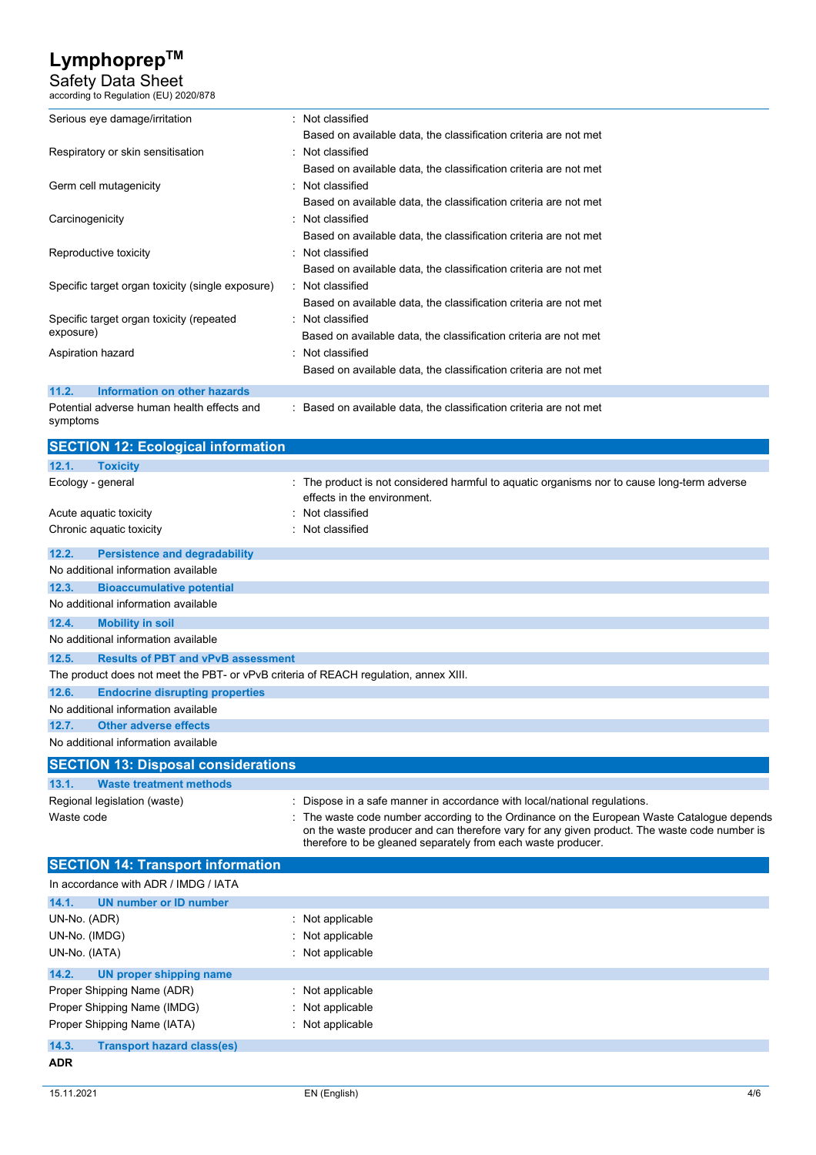Safety Data Sheet

| according to Regulation (EU) 2020/878                                                |                                                                                                                                                                                          |
|--------------------------------------------------------------------------------------|------------------------------------------------------------------------------------------------------------------------------------------------------------------------------------------|
| Serious eye damage/irritation                                                        | : Not classified                                                                                                                                                                         |
|                                                                                      | Based on available data, the classification criteria are not met                                                                                                                         |
| Respiratory or skin sensitisation                                                    | : Not classified                                                                                                                                                                         |
|                                                                                      | Based on available data, the classification criteria are not met                                                                                                                         |
| Germ cell mutagenicity                                                               | Not classified                                                                                                                                                                           |
|                                                                                      | Based on available data, the classification criteria are not met                                                                                                                         |
| Carcinogenicity                                                                      | Not classified                                                                                                                                                                           |
|                                                                                      | Based on available data, the classification criteria are not met                                                                                                                         |
| Reproductive toxicity                                                                | Not classified<br>Based on available data, the classification criteria are not met                                                                                                       |
| Specific target organ toxicity (single exposure)                                     | Not classified                                                                                                                                                                           |
|                                                                                      | Based on available data, the classification criteria are not met                                                                                                                         |
| Specific target organ toxicity (repeated                                             | Not classified                                                                                                                                                                           |
| exposure)                                                                            | Based on available data, the classification criteria are not met                                                                                                                         |
| Aspiration hazard                                                                    | Not classified                                                                                                                                                                           |
|                                                                                      | Based on available data, the classification criteria are not met                                                                                                                         |
| 11.2.<br><b>Information on other hazards</b>                                         |                                                                                                                                                                                          |
| Potential adverse human health effects and                                           | Based on available data, the classification criteria are not met                                                                                                                         |
| symptoms                                                                             |                                                                                                                                                                                          |
| <b>SECTION 12: Ecological information</b>                                            |                                                                                                                                                                                          |
| 12.1.<br><b>Toxicity</b>                                                             |                                                                                                                                                                                          |
| Ecology - general                                                                    | The product is not considered harmful to aquatic organisms nor to cause long-term adverse                                                                                                |
|                                                                                      | effects in the environment.                                                                                                                                                              |
| Acute aquatic toxicity                                                               | Not classified                                                                                                                                                                           |
| Chronic aquatic toxicity                                                             | Not classified                                                                                                                                                                           |
| 12.2.<br><b>Persistence and degradability</b>                                        |                                                                                                                                                                                          |
| No additional information available                                                  |                                                                                                                                                                                          |
| 12.3.<br><b>Bioaccumulative potential</b>                                            |                                                                                                                                                                                          |
| No additional information available                                                  |                                                                                                                                                                                          |
| 12.4.<br><b>Mobility in soil</b>                                                     |                                                                                                                                                                                          |
| No additional information available                                                  |                                                                                                                                                                                          |
| 12.5.<br><b>Results of PBT and vPvB assessment</b>                                   |                                                                                                                                                                                          |
| The product does not meet the PBT- or vPvB criteria of REACH regulation, annex XIII. |                                                                                                                                                                                          |
| 12.6.<br><b>Endocrine disrupting properties</b>                                      |                                                                                                                                                                                          |
| No additional information available                                                  |                                                                                                                                                                                          |
| 12.7.<br><b>Other adverse effects</b>                                                |                                                                                                                                                                                          |
| No additional information available                                                  |                                                                                                                                                                                          |
| <b>SECTION 13: Disposal considerations</b>                                           |                                                                                                                                                                                          |
| <b>Waste treatment methods</b><br>13.1.                                              |                                                                                                                                                                                          |
| Regional legislation (waste)                                                         | $\pm$ Dispose in a safe manner in accordance with local/national regulations.                                                                                                            |
| Waste code                                                                           | The waste code number according to the Ordinance on the European Waste Catalogue depends<br>on the waste producer and can therefore vary for any given product. The waste code number is |
|                                                                                      | therefore to be gleaned separately from each waste producer.                                                                                                                             |
| <b>SECTION 14: Transport information</b>                                             |                                                                                                                                                                                          |
| In accordance with ADR / IMDG / IATA                                                 |                                                                                                                                                                                          |
| 14.1.<br><b>UN number or ID number</b>                                               |                                                                                                                                                                                          |
| UN-No. (ADR)                                                                         | Not applicable                                                                                                                                                                           |
| UN-No. (IMDG)                                                                        | Not applicable                                                                                                                                                                           |
| UN-No. (IATA)                                                                        | Not applicable                                                                                                                                                                           |
| 14.2.<br><b>UN proper shipping name</b>                                              |                                                                                                                                                                                          |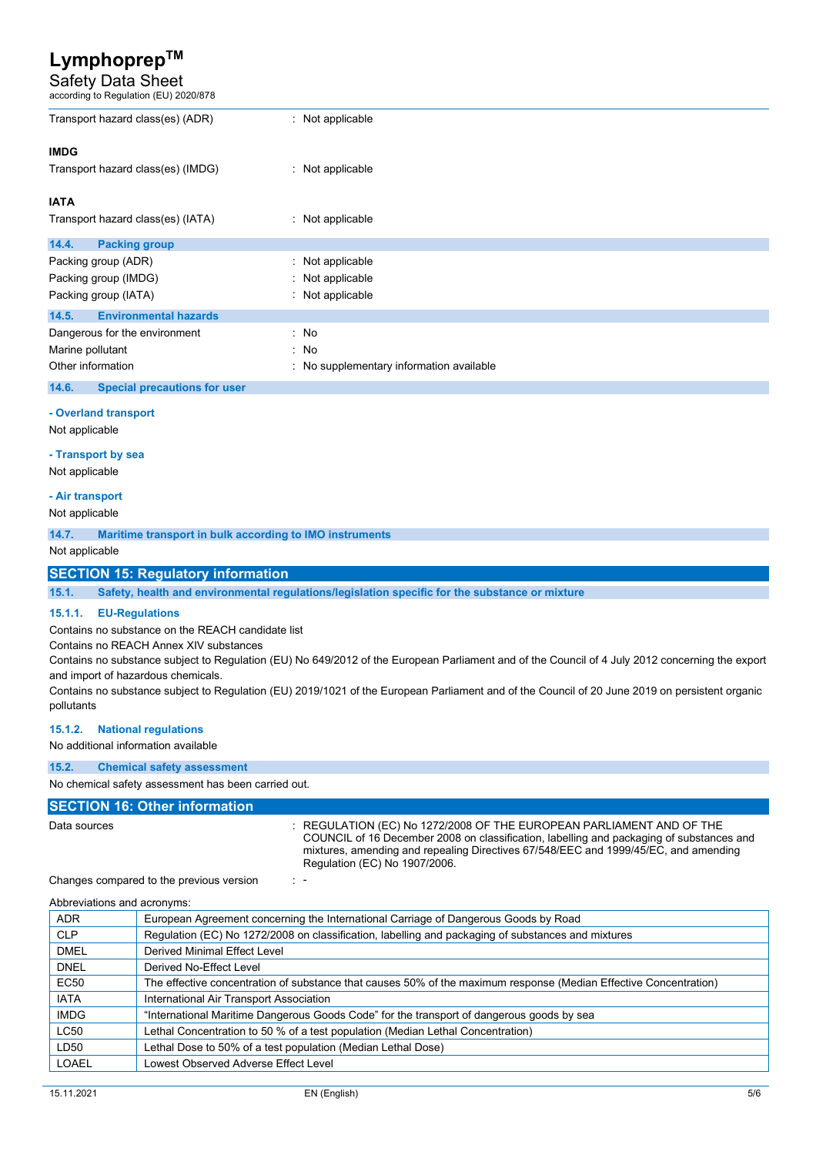# Safety Data Sheet according to Regulation (EU) 2020/878

| Transport hazard class(es) (ADR)                                                            | : Not applicable                                                                                                                                                                                                                                                                         |
|---------------------------------------------------------------------------------------------|------------------------------------------------------------------------------------------------------------------------------------------------------------------------------------------------------------------------------------------------------------------------------------------|
| <b>IMDG</b>                                                                                 |                                                                                                                                                                                                                                                                                          |
| Transport hazard class(es) (IMDG)                                                           | : Not applicable                                                                                                                                                                                                                                                                         |
| <b>IATA</b>                                                                                 |                                                                                                                                                                                                                                                                                          |
| Transport hazard class(es) (IATA)                                                           | : Not applicable                                                                                                                                                                                                                                                                         |
| 14.4.<br><b>Packing group</b>                                                               |                                                                                                                                                                                                                                                                                          |
| Packing group (ADR)                                                                         | Not applicable                                                                                                                                                                                                                                                                           |
| Packing group (IMDG)                                                                        | Not applicable                                                                                                                                                                                                                                                                           |
| Packing group (IATA)                                                                        | Not applicable                                                                                                                                                                                                                                                                           |
| <b>Environmental hazards</b><br>14.5.                                                       |                                                                                                                                                                                                                                                                                          |
| Dangerous for the environment                                                               | : No                                                                                                                                                                                                                                                                                     |
| Marine pollutant                                                                            | No                                                                                                                                                                                                                                                                                       |
| Other information                                                                           | No supplementary information available                                                                                                                                                                                                                                                   |
| 14.6.<br><b>Special precautions for user</b>                                                |                                                                                                                                                                                                                                                                                          |
| - Overland transport                                                                        |                                                                                                                                                                                                                                                                                          |
| Not applicable                                                                              |                                                                                                                                                                                                                                                                                          |
| - Transport by sea                                                                          |                                                                                                                                                                                                                                                                                          |
| Not applicable                                                                              |                                                                                                                                                                                                                                                                                          |
| - Air transport                                                                             |                                                                                                                                                                                                                                                                                          |
| Not applicable                                                                              |                                                                                                                                                                                                                                                                                          |
| 14.7.<br>Maritime transport in bulk according to IMO instruments                            |                                                                                                                                                                                                                                                                                          |
| Not applicable                                                                              |                                                                                                                                                                                                                                                                                          |
| <b>SECTION 15: Regulatory information</b>                                                   |                                                                                                                                                                                                                                                                                          |
| 15.1.                                                                                       | Safety, health and environmental regulations/legislation specific for the substance or mixture                                                                                                                                                                                           |
|                                                                                             |                                                                                                                                                                                                                                                                                          |
| <b>EU-Regulations</b><br>15.1.1.                                                            |                                                                                                                                                                                                                                                                                          |
| Contains no substance on the REACH candidate list<br>Contains no REACH Annex XIV substances |                                                                                                                                                                                                                                                                                          |
|                                                                                             | Contains no substance subject to Regulation (EU) No 649/2012 of the European Parliament and of the Council of 4 July 2012 concerning the export                                                                                                                                          |
| and import of hazardous chemicals.                                                          |                                                                                                                                                                                                                                                                                          |
|                                                                                             | Contains no substance subject to Regulation (EU) 2019/1021 of the European Parliament and of the Council of 20 June 2019 on persistent organic                                                                                                                                           |
| pollutants                                                                                  |                                                                                                                                                                                                                                                                                          |
| <b>National regulations</b><br>15.1.2.                                                      |                                                                                                                                                                                                                                                                                          |
| No additional information available                                                         |                                                                                                                                                                                                                                                                                          |
| 15.2.<br><b>Chemical safety assessment</b>                                                  |                                                                                                                                                                                                                                                                                          |
| No chemical safety assessment has been carried out.                                         |                                                                                                                                                                                                                                                                                          |
| <b>SECTION 16: Other information</b>                                                        |                                                                                                                                                                                                                                                                                          |
| Data sources                                                                                | : REGULATION (EC) No 1272/2008 OF THE EUROPEAN PARLIAMENT AND OF THE<br>COUNCIL of 16 December 2008 on classification, labelling and packaging of substances and<br>mixtures, amending and repealing Directives 67/548/EEC and 1999/45/EC, and amending<br>Regulation (EC) No 1907/2006. |
| Changes compared to the previous version                                                    | $\mathbb{Z}$                                                                                                                                                                                                                                                                             |

Abbreviations and acronyms:

| <b>ADR</b>   | European Agreement concerning the International Carriage of Dangerous Goods by Road                               |
|--------------|-------------------------------------------------------------------------------------------------------------------|
| <b>CLP</b>   | Regulation (EC) No 1272/2008 on classification, labelling and packaging of substances and mixtures                |
| <b>DMEL</b>  | <b>Derived Minimal Effect Level</b>                                                                               |
| <b>DNEL</b>  | Derived No-Effect Level                                                                                           |
| EC50         | The effective concentration of substance that causes 50% of the maximum response (Median Effective Concentration) |
| <b>IATA</b>  | International Air Transport Association                                                                           |
| <b>IMDG</b>  | "International Maritime Dangerous Goods Code" for the transport of dangerous goods by sea                         |
| <b>LC50</b>  | Lethal Concentration to 50 % of a test population (Median Lethal Concentration)                                   |
| LD50         | Lethal Dose to 50% of a test population (Median Lethal Dose)                                                      |
| <b>LOAEL</b> | Lowest Observed Adverse Effect Level                                                                              |